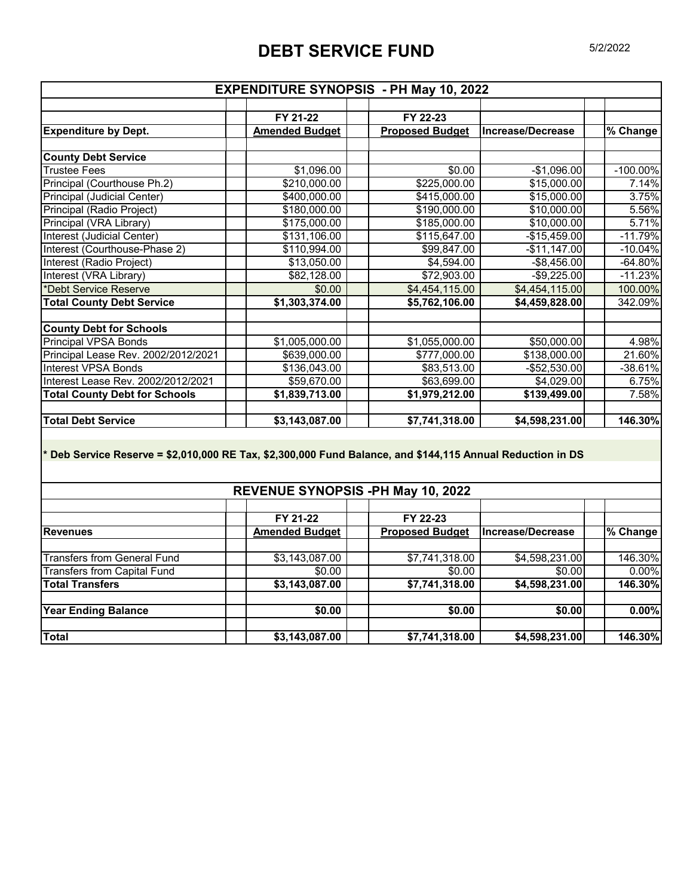## **DEBT SERVICE FUND** 5/2/2022

|                                                                                                            | <b>EXPENDITURE SYNOPSIS - PH May 10, 2022</b> |                          |                   |             |
|------------------------------------------------------------------------------------------------------------|-----------------------------------------------|--------------------------|-------------------|-------------|
|                                                                                                            |                                               |                          |                   |             |
|                                                                                                            | FY 21-22                                      | FY 22-23                 |                   |             |
| <b>Expenditure by Dept.</b>                                                                                | <b>Amended Budget</b>                         | <b>Proposed Budget</b>   | Increase/Decrease | % Change    |
| <b>County Debt Service</b>                                                                                 |                                               |                          |                   |             |
| <b>Trustee Fees</b>                                                                                        | \$1,096.00                                    | $\sqrt{$0.00}$           | $-$1,096.00$      | $-100.00\%$ |
| Principal (Courthouse Ph.2)                                                                                | \$210,000.00                                  | \$225,000.00             | \$15,000.00       | 7.14%       |
| Principal (Judicial Center)                                                                                | \$400,000.00                                  | \$415,000.00             | \$15,000.00       | 3.75%       |
| Principal (Radio Project)                                                                                  | \$180,000.00                                  | \$190,000.00             | \$10,000.00       | 5.56%       |
| Principal (VRA Library)                                                                                    | \$175,000.00                                  | \$185,000.00             | \$10,000.00       | 5.71%       |
| Interest (Judicial Center)                                                                                 | \$131,106.00                                  | \$115,647.00             | $-$15,459.00$     | $-11.79%$   |
| Interest (Courthouse-Phase 2)                                                                              | \$110,994.00                                  | \$99,847.00              | $-$11,147.00$     | $-10.04\%$  |
| Interest (Radio Project)                                                                                   | \$13,050.00                                   | \$4,594.00               | $-$ \$8,456.00    | $-64.80%$   |
| Interest (VRA Library)                                                                                     | \$82,128.00                                   | \$72,903.00              | $-$9,225.00$      | $-11.23%$   |
| *Debt Service Reserve                                                                                      | \$0.00                                        | \$4,454,115.00           | \$4,454,115.00    | 100.00%     |
| <b>Total County Debt Service</b>                                                                           | \$1,303,374.00                                | \$5,762,106.00           | \$4,459,828.00    | 342.09%     |
|                                                                                                            |                                               |                          |                   |             |
| <b>County Debt for Schools</b>                                                                             |                                               |                          |                   |             |
| <b>Principal VPSA Bonds</b>                                                                                | \$1,005,000.00                                | \$1,055,000.00           | \$50,000.00       | 4.98%       |
| Principal Lease Rev. 2002/2012/2021                                                                        | \$639,000.00                                  | \$777,000.00             | \$138,000.00      | 21.60%      |
| <b>Interest VPSA Bonds</b>                                                                                 | \$136,043.00                                  | \$83,513.00              | $-$52,530.00$     | $-38.61%$   |
| Interest Lease Rev. 2002/2012/2021                                                                         | \$59,670.00                                   | \$63,699.00              | \$4,029.00        | 6.75%       |
| <b>Total County Debt for Schools</b>                                                                       | $\overline{1,839,713.00}$                     | \$1,979,212.00           | \$139,499.00      | 7.58%       |
|                                                                                                            |                                               |                          |                   |             |
| <b>Total Debt Service</b>                                                                                  | \$3,143,087.00                                | \$7,741,318.00           | \$4,598,231.00    | 146.30%     |
|                                                                                                            |                                               |                          |                   |             |
| * Deb Service Reserve = \$2,010,000 RE Tax, \$2,300,000 Fund Balance, and \$144,115 Annual Reduction in DS | REVENUE SYNOPSIS -PH May 10, 2022             |                          |                   |             |
|                                                                                                            |                                               |                          |                   |             |
|                                                                                                            | FY 21-22                                      | FY 22-23                 |                   |             |
| <b>Revenues</b>                                                                                            | <b>Amended Budget</b>                         | <b>Proposed Budget</b>   | Increase/Decrease | % Change    |
| <b>Transfers from General Fund</b>                                                                         | \$3,143,087.00                                |                          | \$4,598,231.00    | 146.30%     |
|                                                                                                            | \$0.00                                        | \$7,741,318.00<br>\$0.00 |                   | $0.00\%$    |
| <b>Transfers from Capital Fund</b>                                                                         |                                               |                          | \$0.00            |             |
| <b>Total Transfers</b>                                                                                     | \$3,143,087.00                                | \$7,741,318.00           | \$4,598,231.00    | 146.30%     |
| <b>Year Ending Balance</b>                                                                                 | \$0.00                                        | \$0.00                   | \$0.00            | 0.00%       |
|                                                                                                            |                                               |                          |                   |             |
| <b>Total</b>                                                                                               | \$3,143,087.00                                | \$7,741,318.00           | \$4,598,231.00    | 146.30%     |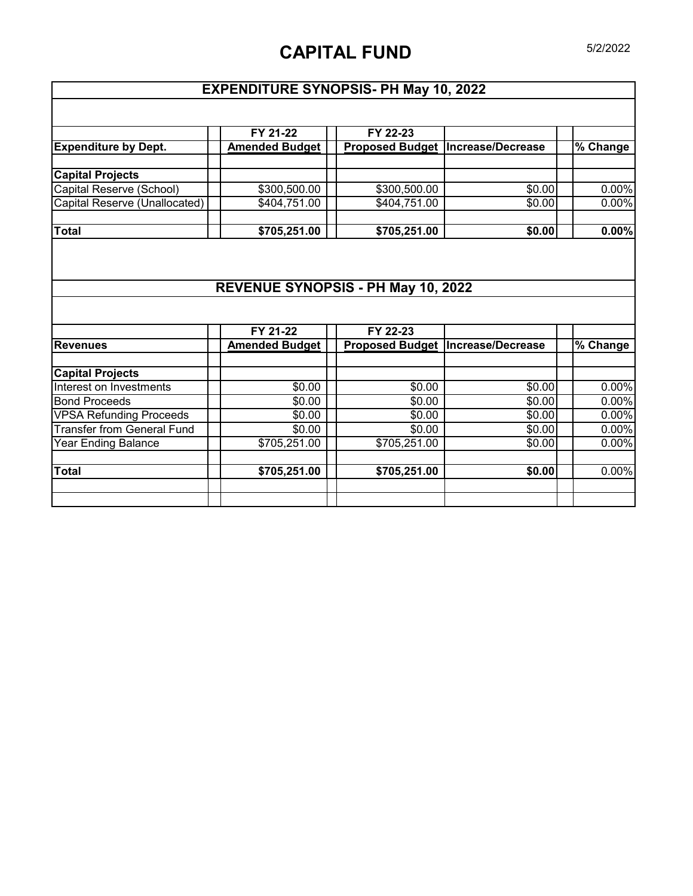# **CAPITAL FUND** 5/2/2022

## **EXPENDITURE SYNOPSIS- PH May 10, 2022**

|                                            | FY 21-22                           | FY 22-23               |                                          |          |
|--------------------------------------------|------------------------------------|------------------------|------------------------------------------|----------|
| <b>Expenditure by Dept.</b>                | <b>Amended Budget</b>              | <b>Proposed Budget</b> | Increase/Decrease                        | % Change |
| <b>Capital Projects</b>                    |                                    |                        |                                          |          |
| Capital Reserve (School)                   | \$300,500.00                       | \$300,500.00           | \$0.00                                   | 0.00%    |
| Capital Reserve (Unallocated)              | \$404,751.00                       | \$404,751.00           | \$0.00                                   | 0.00%    |
| <b>Total</b>                               | \$705,251.00                       | \$705,251.00           | \$0.00                                   | 0.00%    |
|                                            |                                    |                        |                                          |          |
|                                            |                                    |                        |                                          |          |
|                                            | REVENUE SYNOPSIS - PH May 10, 2022 |                        |                                          |          |
|                                            |                                    |                        |                                          |          |
|                                            | FY 21-22                           | FY 22-23               |                                          |          |
|                                            | <b>Amended Budget</b>              |                        | <b>Proposed Budget Increase/Decrease</b> | % Change |
| <b>Revenues</b><br><b>Capital Projects</b> |                                    |                        |                                          |          |
| Interest on Investments                    | \$0.00                             | \$0.00                 | \$0.00                                   | 0.00%    |
| <b>Bond Proceeds</b>                       | \$0.00                             | \$0.00                 | \$0.00                                   | 0.00%    |
| <b>VPSA Refunding Proceeds</b>             | \$0.00                             | \$0.00                 | \$0.00                                   | 0.00%    |
| <b>Transfer from General Fund</b>          | \$0.00                             | \$0.00                 | \$0.00                                   | 0.00%    |
| <b>Year Ending Balance</b>                 | \$705,251.00                       | \$705,251.00           | \$0.00                                   | 0.00%    |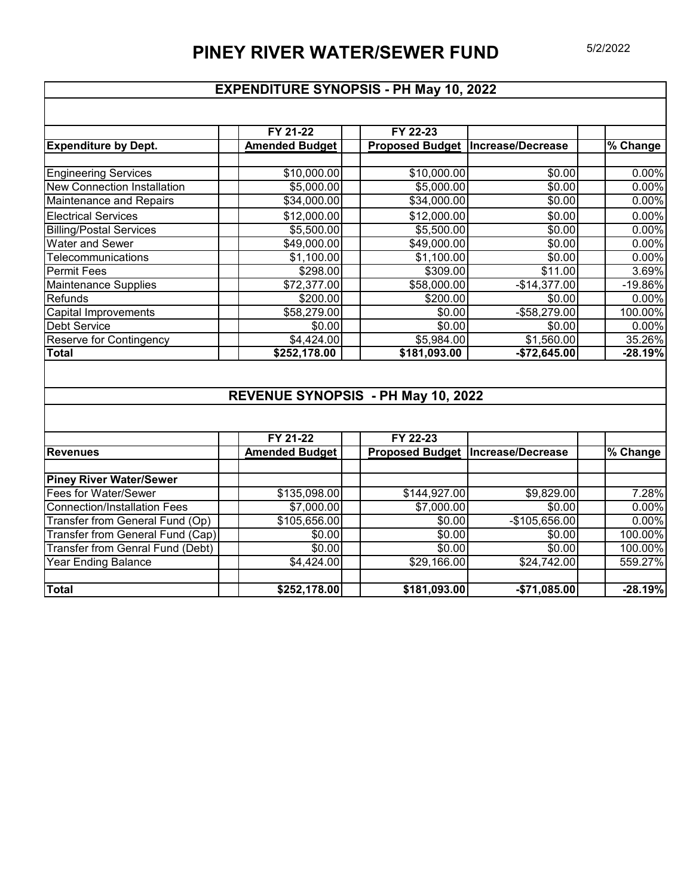#### **EXPENDITURE SYNOPSIS - PH May 10, 2022**

|                                    | FY 21-22              | FY 22-23     |                                    |            |
|------------------------------------|-----------------------|--------------|------------------------------------|------------|
| <b>Expenditure by Dept.</b>        | <b>Amended Budget</b> |              | Proposed Budget  Increase/Decrease | % Change   |
|                                    |                       |              |                                    |            |
| <b>Engineering Services</b>        | \$10,000.00           | \$10,000.00  | \$0.00                             | 0.00%      |
| <b>New Connection Installation</b> | \$5,000.00            | \$5,000.00   | \$0.00                             | 0.00%      |
| <b>Maintenance and Repairs</b>     | \$34,000.00           | \$34,000.00  | \$0.00                             | 0.00%      |
| <b>Electrical Services</b>         | \$12,000.00           | \$12,000.00  | \$0.00                             | 0.00%      |
| <b>Billing/Postal Services</b>     | \$5,500.00            | \$5,500.00   | \$0.00                             | 0.00%      |
| <b>Water and Sewer</b>             | \$49,000.00           | \$49,000.00  | \$0.00                             | 0.00%      |
| Telecommunications                 | \$1,100.00            | \$1,100.00   | \$0.00                             | 0.00%      |
| Permit Fees                        | \$298.00              | \$309.00     | \$11.00                            | 3.69%      |
| Maintenance Supplies               | \$72,377.00           | \$58,000.00  | $-$14,377.00$                      | $-19.86\%$ |
| Refunds                            | \$200.00              | \$200.00     | \$0.00                             | 0.00%      |
| Capital Improvements               | \$58,279.00           | \$0.00       | $-$58,279.00$                      | 100.00%    |
| Debt Service                       | \$0.00                | \$0.00       | \$0.00                             | 0.00%      |
| <b>Reserve for Contingency</b>     | \$4,424.00            | \$5,984.00   | \$1,560.00                         | 35.26%     |
| <b>Total</b>                       | \$252,178.00          | \$181,093.00 | $-$72,645.00$                      | $-28.19%$  |

### **REVENUE SYNOPSIS - PH May 10, 2022**

|                                     | FY 21-22              | FY 22-23     |                                     |           |
|-------------------------------------|-----------------------|--------------|-------------------------------------|-----------|
| <b>Revenues</b>                     | <b>Amended Budget</b> |              | Proposed Budget   Increase/Decrease | % Change  |
|                                     |                       |              |                                     |           |
| <b>Piney River Water/Sewer</b>      |                       |              |                                     |           |
| Fees for Water/Sewer                | \$135,098.00          | \$144,927.00 | \$9,829.00                          | 7.28%     |
| <b>Connection/Installation Fees</b> | \$7,000.00            | \$7,000.00   | \$0.00                              | 0.00%     |
| Transfer from General Fund (Op)     | \$105,656.00          | \$0.00       | $-$105,656.00$                      | 0.00%     |
| Transfer from General Fund (Cap)    | \$0.00                | \$0.00       | \$0.00                              | 100.00%   |
| Transfer from Genral Fund (Debt)    | \$0.00                | \$0.00       | \$0.00                              | 100.00%   |
| Year Ending Balance                 | \$4,424.00            | \$29,166.00  | \$24,742.00                         | 559.27%   |
|                                     |                       |              |                                     |           |
| <b>Total</b>                        | \$252,178.00          | \$181,093.00 | $-$71,085.00$                       | $-28.19%$ |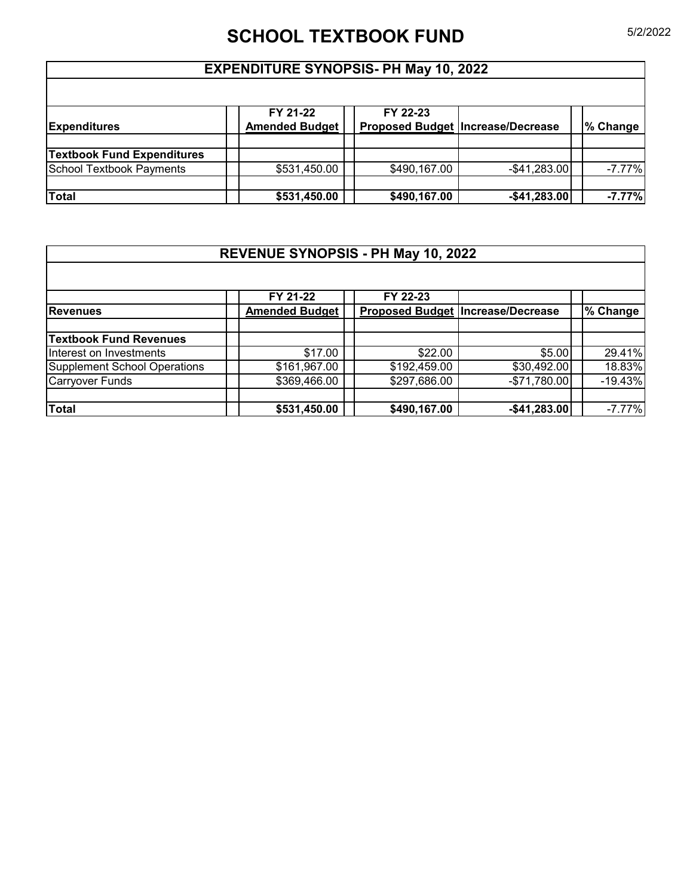# **SCHOOL TEXTBOOK FUND** 5/2/2022

#### **EXPENDITURE SYNOPSIS- PH May 10, 2022**

| <b>Expenditures</b>               | FY 21-22<br><b>Amended Budget</b> | FY 22-23     | <b>Proposed Budget Increase/Decrease</b> | % Change |
|-----------------------------------|-----------------------------------|--------------|------------------------------------------|----------|
|                                   |                                   |              |                                          |          |
| <b>Textbook Fund Expenditures</b> |                                   |              |                                          |          |
| School Textbook Payments          | \$531,450.00                      | \$490,167.00 | $-$ \$41,283.00                          | $-7.77%$ |
|                                   |                                   |              |                                          |          |
| <b>Total</b>                      | \$531,450.00                      | \$490,167.00 | $-$41,283.00$                            | $-7.77%$ |

## **REVENUE SYNOPSIS - PH May 10, 2022**

|                                     | FY 21-22              | FY 22-23     |                                          |           |
|-------------------------------------|-----------------------|--------------|------------------------------------------|-----------|
| <b>Revenues</b>                     | <b>Amended Budget</b> |              | <b>Proposed Budget Increase/Decrease</b> | % Change  |
|                                     |                       |              |                                          |           |
| <b>Textbook Fund Revenues</b>       |                       |              |                                          |           |
| Interest on Investments             | \$17.00               | \$22.00      | \$5.00                                   | 29.41%    |
| <b>Supplement School Operations</b> | \$161,967.00          | \$192,459.00 | \$30,492.00                              | 18.83%    |
| <b>Carryover Funds</b>              | \$369,466.00          | \$297,686.00 | $-$71,780.00$                            | $-19.43%$ |
|                                     |                       |              |                                          |           |
| <b>Total</b>                        | \$531,450.00          | \$490,167.00 | $-$41,283.00$                            | $-7.77%$  |